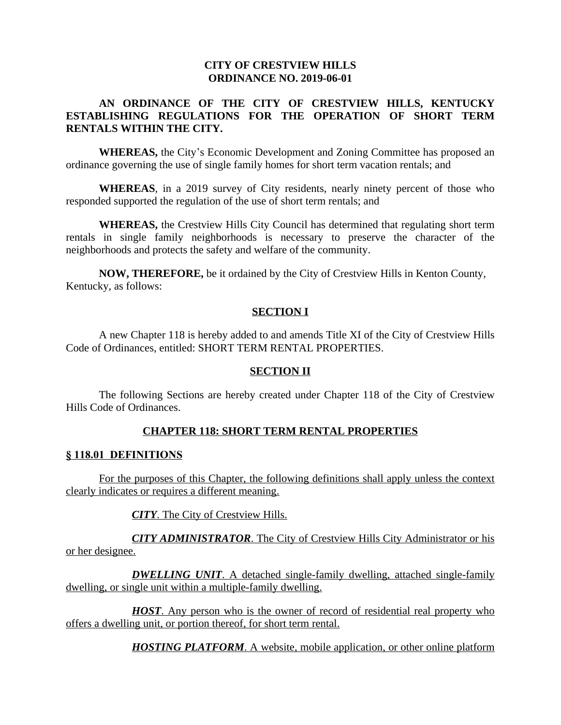#### **CITY OF CRESTVIEW HILLS ORDINANCE NO. 2019-06-01**

#### **AN ORDINANCE OF THE CITY OF CRESTVIEW HILLS, KENTUCKY ESTABLISHING REGULATIONS FOR THE OPERATION OF SHORT TERM RENTALS WITHIN THE CITY.**

**WHEREAS,** the City's Economic Development and Zoning Committee has proposed an ordinance governing the use of single family homes for short term vacation rentals; and

**WHEREAS**, in a 2019 survey of City residents, nearly ninety percent of those who responded supported the regulation of the use of short term rentals; and

**WHEREAS,** the Crestview Hills City Council has determined that regulating short term rentals in single family neighborhoods is necessary to preserve the character of the neighborhoods and protects the safety and welfare of the community.

**NOW, THEREFORE,** be it ordained by the City of Crestview Hills in Kenton County, Kentucky, as follows:

#### **SECTION I**

A new Chapter 118 is hereby added to and amends Title XI of the City of Crestview Hills Code of Ordinances, entitled: SHORT TERM RENTAL PROPERTIES.

#### **SECTION II**

The following Sections are hereby created under Chapter 118 of the City of Crestview Hills Code of Ordinances.

### **CHAPTER 118: SHORT TERM RENTAL PROPERTIES**

#### **§ 118.01 DEFINITIONS**

For the purposes of this Chapter, the following definitions shall apply unless the context clearly indicates or requires a different meaning.

*CITY*. The City of Crestview Hills.

*CITY ADMINISTRATOR*. The City of Crestview Hills City Administrator or his or her designee.

*DWELLING UNIT*. A detached single-family dwelling, attached single-family dwelling, or single unit within a multiple-family dwelling.

*HOST*. Any person who is the owner of record of residential real property who offers a dwelling unit, or portion thereof, for short term rental.

*HOSTING PLATFORM*. A website, mobile application, or other online platform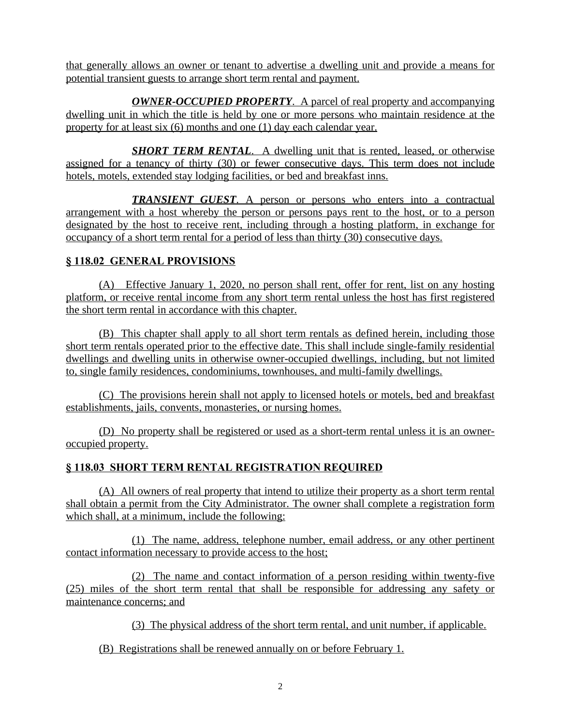that generally allows an owner or tenant to advertise a dwelling unit and provide a means for potential transient guests to arrange short term rental and payment.

*OWNER-OCCUPIED PROPERTY*. A parcel of real property and accompanying dwelling unit in which the title is held by one or more persons who maintain residence at the property for at least six (6) months and one (1) day each calendar year.

*SHORT TERM RENTAL.* A dwelling unit that is rented, leased, or otherwise assigned for a tenancy of thirty (30) or fewer consecutive days. This term does not include hotels, motels, extended stay lodging facilities, or bed and breakfast inns.

*TRANSIENT GUEST*. A person or persons who enters into a contractual arrangement with a host whereby the person or persons pays rent to the host, or to a person designated by the host to receive rent, including through a hosting platform, in exchange for occupancy of a short term rental for a period of less than thirty (30) consecutive days.

# **§ 118.02 GENERAL PROVISIONS**

(A) Effective January 1, 2020, no person shall rent, offer for rent, list on any hosting platform, or receive rental income from any short term rental unless the host has first registered the short term rental in accordance with this chapter.

(B) This chapter shall apply to all short term rentals as defined herein, including those short term rentals operated prior to the effective date. This shall include single-family residential dwellings and dwelling units in otherwise owner-occupied dwellings, including, but not limited to, single family residences, condominiums, townhouses, and multi-family dwellings.

(C) The provisions herein shall not apply to licensed hotels or motels, bed and breakfast establishments, jails, convents, monasteries, or nursing homes.

(D) No property shall be registered or used as a short-term rental unless it is an owneroccupied property.

# **§ 118.03 SHORT TERM RENTAL REGISTRATION REQUIRED**

(A) All owners of real property that intend to utilize their property as a short term rental shall obtain a permit from the City Administrator. The owner shall complete a registration form which shall, at a minimum, include the following:

(1) The name, address, telephone number, email address, or any other pertinent contact information necessary to provide access to the host;

(2) The name and contact information of a person residing within twenty-five (25) miles of the short term rental that shall be responsible for addressing any safety or maintenance concerns; and

(3) The physical address of the short term rental, and unit number, if applicable.

(B) Registrations shall be renewed annually on or before February 1.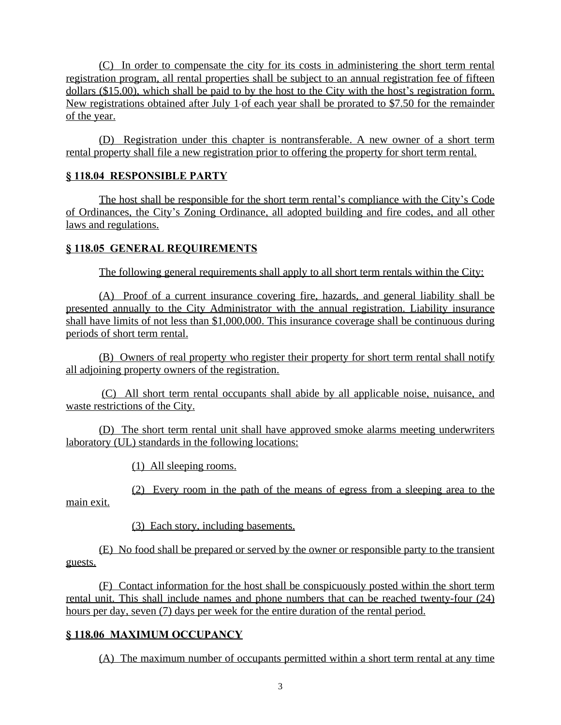(C) In order to compensate the city for its costs in administering the short term rental registration program, all rental properties shall be subject to an annual registration fee of fifteen dollars (\$15.00), which shall be paid to by the host to the City with the host's registration form. New registrations obtained after July 1 of each year shall be prorated to \$7.50 for the remainder of the year.

(D) Registration under this chapter is nontransferable. A new owner of a short term rental property shall file a new registration prior to offering the property for short term rental.

### **§ 118.04 RESPONSIBLE PARTY**

The host shall be responsible for the short term rental's compliance with the City's Code of Ordinances, the City's Zoning Ordinance, all adopted building and fire codes, and all other laws and regulations.

### **§ 118.05 GENERAL REQUIREMENTS**

The following general requirements shall apply to all short term rentals within the City:

(A) Proof of a current insurance covering fire, hazards, and general liability shall be presented annually to the City Administrator with the annual registration. Liability insurance shall have limits of not less than \$1,000,000. This insurance coverage shall be continuous during periods of short term rental.

(B) Owners of real property who register their property for short term rental shall notify all adjoining property owners of the registration.

(C) All short term rental occupants shall abide by all applicable noise, nuisance, and waste restrictions of the City.

(D) The short term rental unit shall have approved smoke alarms meeting underwriters laboratory (UL) standards in the following locations:

(1) All sleeping rooms.

(2) Every room in the path of the means of egress from a sleeping area to the main exit.

(3) Each story, including basements.

(E) No food shall be prepared or served by the owner or responsible party to the transient guests.

(F) Contact information for the host shall be conspicuously posted within the short term rental unit. This shall include names and phone numbers that can be reached twenty-four (24) hours per day, seven (7) days per week for the entire duration of the rental period.

# **§ 118.06 MAXIMUM OCCUPANCY**

(A) The maximum number of occupants permitted within a short term rental at any time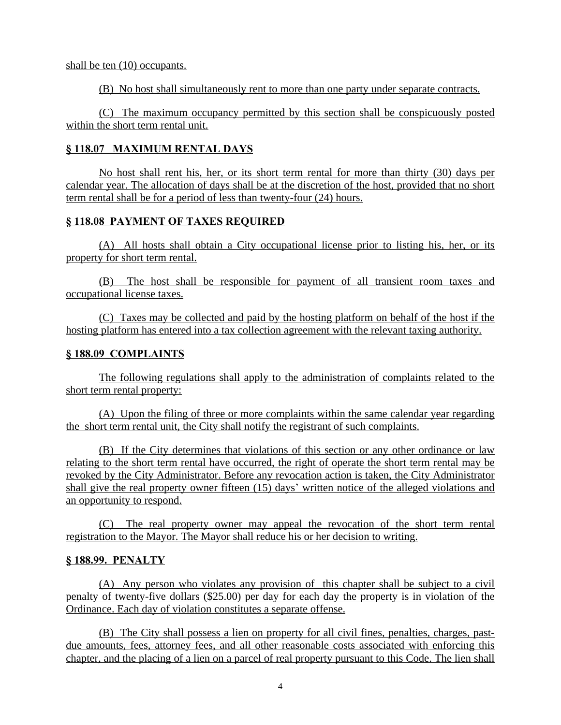shall be ten  $(10)$  occupants.

(B) No host shall simultaneously rent to more than one party under separate contracts.

(C) The maximum occupancy permitted by this section shall be conspicuously posted within the short term rental unit.

### **§ 118.07 MAXIMUM RENTAL DAYS**

No host shall rent his, her, or its short term rental for more than thirty (30) days per calendar year. The allocation of days shall be at the discretion of the host, provided that no short term rental shall be for a period of less than twenty-four (24) hours.

# **§ 118.08 PAYMENT OF TAXES REQUIRED**

(A) All hosts shall obtain a City occupational license prior to listing his, her, or its property for short term rental.

(B) The host shall be responsible for payment of all transient room taxes and occupational license taxes.

(C) Taxes may be collected and paid by the hosting platform on behalf of the host if the hosting platform has entered into a tax collection agreement with the relevant taxing authority.

### **§ 188.09 COMPLAINTS**

The following regulations shall apply to the administration of complaints related to the short term rental property:

(A) Upon the filing of three or more complaints within the same calendar year regarding the short term rental unit, the City shall notify the registrant of such complaints.

(B) If the City determines that violations of this section or any other ordinance or law relating to the short term rental have occurred, the right of operate the short term rental may be revoked by the City Administrator. Before any revocation action is taken, the City Administrator shall give the real property owner fifteen (15) days' written notice of the alleged violations and an opportunity to respond.

(C) The real property owner may appeal the revocation of the short term rental registration to the Mayor. The Mayor shall reduce his or her decision to writing.

### **§ 188.99. PENALTY**

(A) Any person who violates any provision of this chapter shall be subject to a civil penalty of twenty-five dollars (\$25.00) per day for each day the property is in violation of the Ordinance. Each day of violation constitutes a separate offense.

(B) The City shall possess a lien on property for all civil fines, penalties, charges, pastdue amounts, fees, attorney fees, and all other reasonable costs associated with enforcing this chapter, and the placing of a lien on a parcel of real property pursuant to this Code. The lien shall